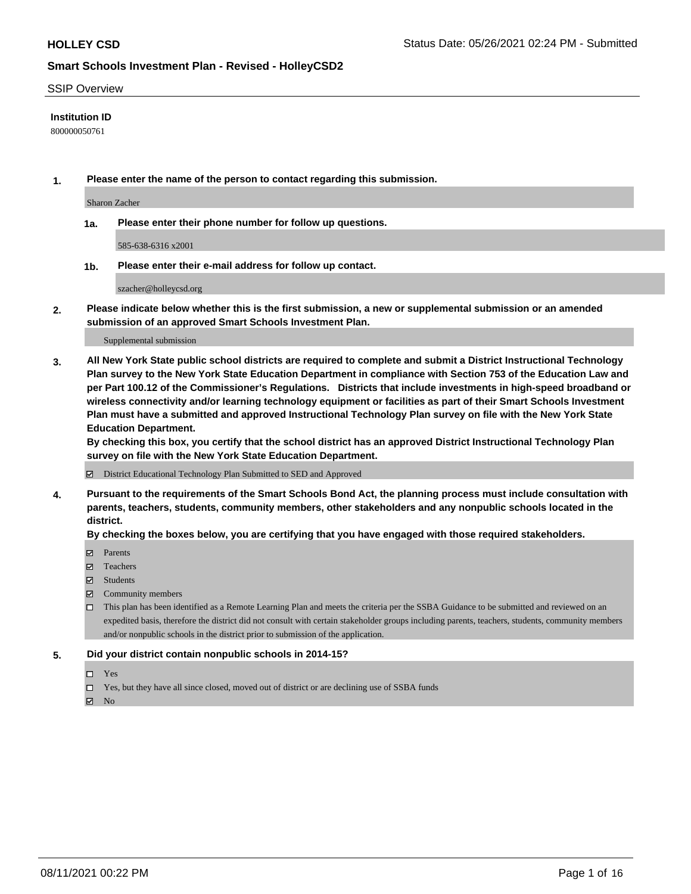### SSIP Overview

### **Institution ID**

800000050761

**1. Please enter the name of the person to contact regarding this submission.**

Sharon Zacher

**1a. Please enter their phone number for follow up questions.**

585-638-6316 x2001

**1b. Please enter their e-mail address for follow up contact.**

szacher@holleycsd.org

**2. Please indicate below whether this is the first submission, a new or supplemental submission or an amended submission of an approved Smart Schools Investment Plan.**

#### Supplemental submission

**3. All New York State public school districts are required to complete and submit a District Instructional Technology Plan survey to the New York State Education Department in compliance with Section 753 of the Education Law and per Part 100.12 of the Commissioner's Regulations. Districts that include investments in high-speed broadband or wireless connectivity and/or learning technology equipment or facilities as part of their Smart Schools Investment Plan must have a submitted and approved Instructional Technology Plan survey on file with the New York State Education Department.** 

**By checking this box, you certify that the school district has an approved District Instructional Technology Plan survey on file with the New York State Education Department.**

District Educational Technology Plan Submitted to SED and Approved

**4. Pursuant to the requirements of the Smart Schools Bond Act, the planning process must include consultation with parents, teachers, students, community members, other stakeholders and any nonpublic schools located in the district.** 

### **By checking the boxes below, you are certifying that you have engaged with those required stakeholders.**

- **Parents**
- Teachers
- Students
- $\boxtimes$  Community members
- This plan has been identified as a Remote Learning Plan and meets the criteria per the SSBA Guidance to be submitted and reviewed on an expedited basis, therefore the district did not consult with certain stakeholder groups including parents, teachers, students, community members and/or nonpublic schools in the district prior to submission of the application.
- **5. Did your district contain nonpublic schools in 2014-15?**
	- □ Yes
	- □ Yes, but they have all since closed, moved out of district or are declining use of SSBA funds

 $M$  No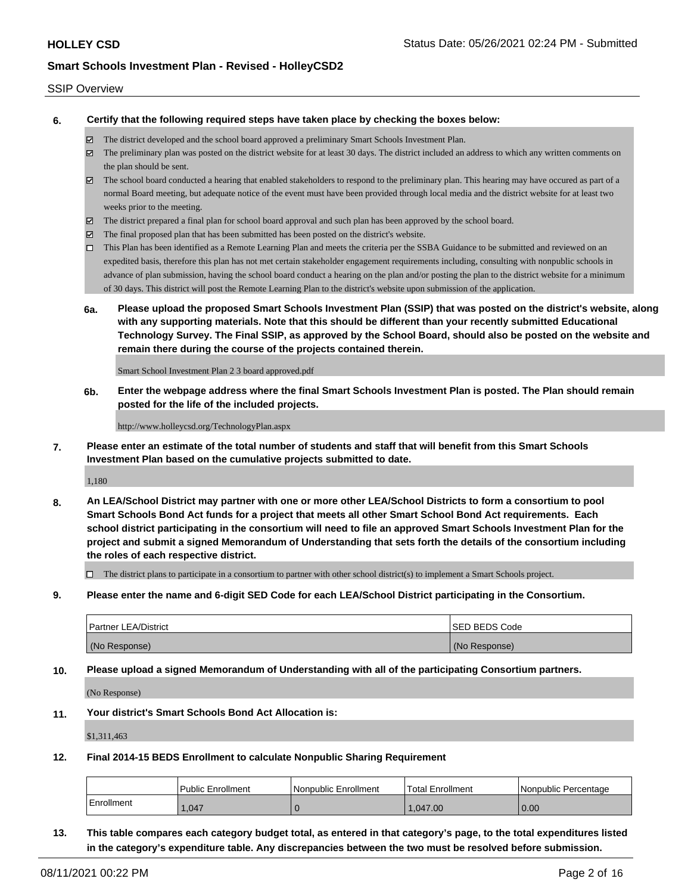### SSIP Overview

**6. Certify that the following required steps have taken place by checking the boxes below:**

- The district developed and the school board approved a preliminary Smart Schools Investment Plan.
- The preliminary plan was posted on the district website for at least 30 days. The district included an address to which any written comments on the plan should be sent.
- The school board conducted a hearing that enabled stakeholders to respond to the preliminary plan. This hearing may have occured as part of a normal Board meeting, but adequate notice of the event must have been provided through local media and the district website for at least two weeks prior to the meeting.
- The district prepared a final plan for school board approval and such plan has been approved by the school board.
- $\boxtimes$  The final proposed plan that has been submitted has been posted on the district's website.
- This Plan has been identified as a Remote Learning Plan and meets the criteria per the SSBA Guidance to be submitted and reviewed on an expedited basis, therefore this plan has not met certain stakeholder engagement requirements including, consulting with nonpublic schools in advance of plan submission, having the school board conduct a hearing on the plan and/or posting the plan to the district website for a minimum of 30 days. This district will post the Remote Learning Plan to the district's website upon submission of the application.
- **6a. Please upload the proposed Smart Schools Investment Plan (SSIP) that was posted on the district's website, along with any supporting materials. Note that this should be different than your recently submitted Educational Technology Survey. The Final SSIP, as approved by the School Board, should also be posted on the website and remain there during the course of the projects contained therein.**

Smart School Investment Plan 2 3 board approved.pdf

**6b. Enter the webpage address where the final Smart Schools Investment Plan is posted. The Plan should remain posted for the life of the included projects.**

http://www.holleycsd.org/TechnologyPlan.aspx

**7. Please enter an estimate of the total number of students and staff that will benefit from this Smart Schools Investment Plan based on the cumulative projects submitted to date.**

1,180

**8. An LEA/School District may partner with one or more other LEA/School Districts to form a consortium to pool Smart Schools Bond Act funds for a project that meets all other Smart School Bond Act requirements. Each school district participating in the consortium will need to file an approved Smart Schools Investment Plan for the project and submit a signed Memorandum of Understanding that sets forth the details of the consortium including the roles of each respective district.**

 $\Box$  The district plans to participate in a consortium to partner with other school district(s) to implement a Smart Schools project.

**9. Please enter the name and 6-digit SED Code for each LEA/School District participating in the Consortium.**

| <b>Partner LEA/District</b> | <b>ISED BEDS Code</b> |
|-----------------------------|-----------------------|
| (No Response)               | (No Response)         |

**10. Please upload a signed Memorandum of Understanding with all of the participating Consortium partners.**

(No Response)

**11. Your district's Smart Schools Bond Act Allocation is:**

\$1,311,463

**12. Final 2014-15 BEDS Enrollment to calculate Nonpublic Sharing Requirement**

|            | <b>Public Enrollment</b> | Nonpublic Enrollment | Total Enrollment | INonpublic Percentage |
|------------|--------------------------|----------------------|------------------|-----------------------|
| Enrollment | .047                     |                      | .047.00          | 0.00                  |

**13. This table compares each category budget total, as entered in that category's page, to the total expenditures listed in the category's expenditure table. Any discrepancies between the two must be resolved before submission.**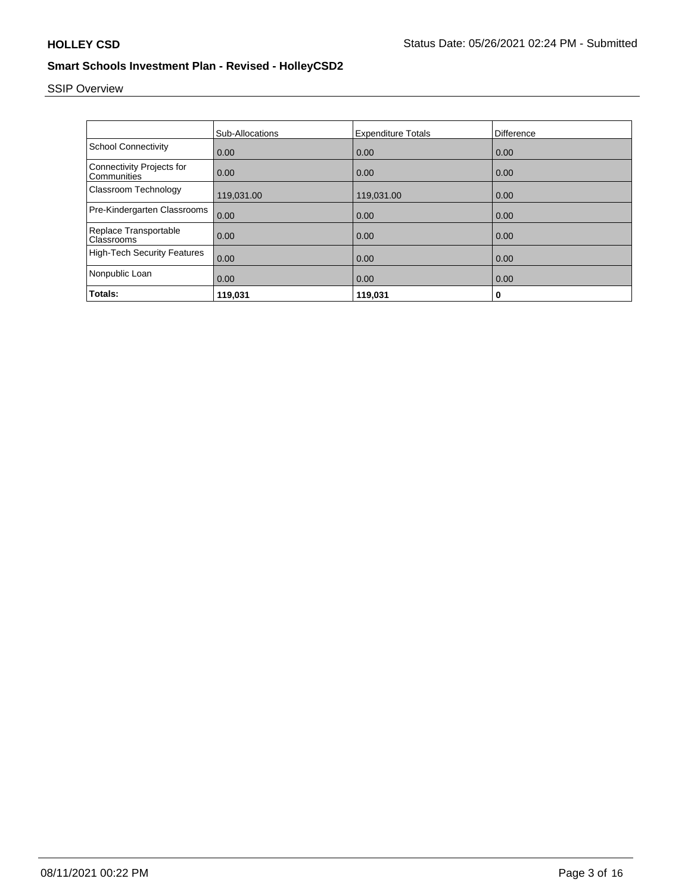# SSIP Overview

|                                                 | <b>Sub-Allocations</b> | <b>Expenditure Totals</b> | Difference |
|-------------------------------------------------|------------------------|---------------------------|------------|
| <b>School Connectivity</b>                      | 0.00                   | 0.00                      | 0.00       |
| <b>Connectivity Projects for</b><br>Communities | 0.00                   | 0.00                      | 0.00       |
| Classroom Technology                            | 119,031.00             | 119,031.00                | 0.00       |
| Pre-Kindergarten Classrooms                     | 0.00                   | 0.00                      | 0.00       |
| Replace Transportable<br>Classrooms             | 0.00                   | 0.00                      | 0.00       |
| <b>High-Tech Security Features</b>              | 0.00                   | 0.00                      | 0.00       |
| Nonpublic Loan                                  | 0.00                   | 0.00                      | 0.00       |
| Totals:                                         | 119,031                | 119,031                   | 0          |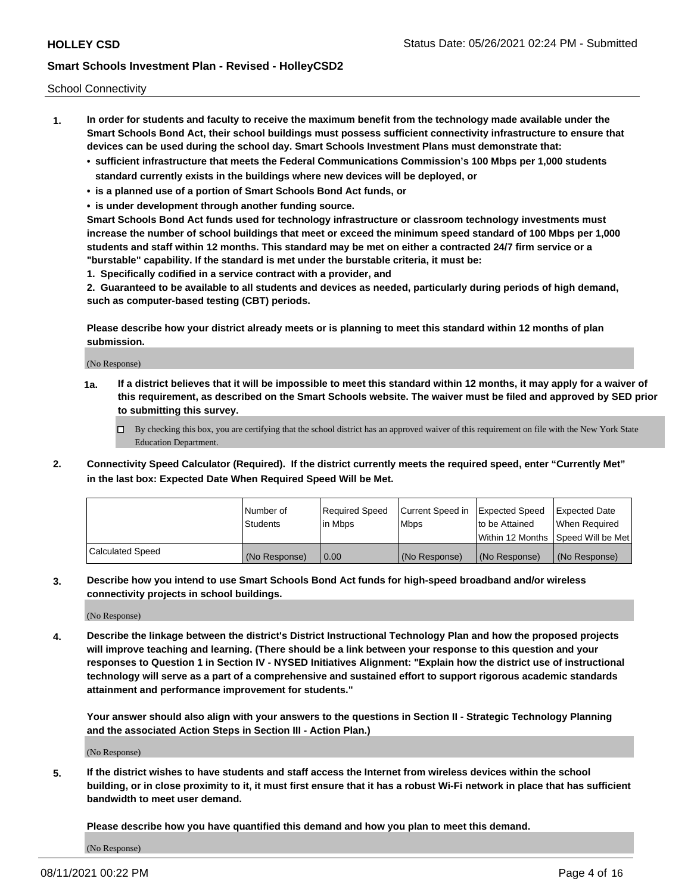School Connectivity

- **1. In order for students and faculty to receive the maximum benefit from the technology made available under the Smart Schools Bond Act, their school buildings must possess sufficient connectivity infrastructure to ensure that devices can be used during the school day. Smart Schools Investment Plans must demonstrate that:**
	- **• sufficient infrastructure that meets the Federal Communications Commission's 100 Mbps per 1,000 students standard currently exists in the buildings where new devices will be deployed, or**
	- **• is a planned use of a portion of Smart Schools Bond Act funds, or**
	- **• is under development through another funding source.**

**Smart Schools Bond Act funds used for technology infrastructure or classroom technology investments must increase the number of school buildings that meet or exceed the minimum speed standard of 100 Mbps per 1,000 students and staff within 12 months. This standard may be met on either a contracted 24/7 firm service or a "burstable" capability. If the standard is met under the burstable criteria, it must be:**

**1. Specifically codified in a service contract with a provider, and**

**2. Guaranteed to be available to all students and devices as needed, particularly during periods of high demand, such as computer-based testing (CBT) periods.**

**Please describe how your district already meets or is planning to meet this standard within 12 months of plan submission.**

(No Response)

**1a. If a district believes that it will be impossible to meet this standard within 12 months, it may apply for a waiver of this requirement, as described on the Smart Schools website. The waiver must be filed and approved by SED prior to submitting this survey.**

 $\Box$  By checking this box, you are certifying that the school district has an approved waiver of this requirement on file with the New York State Education Department.

**2. Connectivity Speed Calculator (Required). If the district currently meets the required speed, enter "Currently Met" in the last box: Expected Date When Required Speed Will be Met.**

|                  | l Number of     | Required Speed | Current Speed in | Expected Speed  | Expected Date                           |
|------------------|-----------------|----------------|------------------|-----------------|-----------------------------------------|
|                  | <b>Students</b> | In Mbps        | l Mbps           | to be Attained  | When Required                           |
|                  |                 |                |                  |                 | l Within 12 Months ISpeed Will be Met l |
| Calculated Speed | (No Response)   | 0.00           | (No Response)    | l (No Response) | l (No Response)                         |

**3. Describe how you intend to use Smart Schools Bond Act funds for high-speed broadband and/or wireless connectivity projects in school buildings.**

(No Response)

**4. Describe the linkage between the district's District Instructional Technology Plan and how the proposed projects will improve teaching and learning. (There should be a link between your response to this question and your responses to Question 1 in Section IV - NYSED Initiatives Alignment: "Explain how the district use of instructional technology will serve as a part of a comprehensive and sustained effort to support rigorous academic standards attainment and performance improvement for students."** 

**Your answer should also align with your answers to the questions in Section II - Strategic Technology Planning and the associated Action Steps in Section III - Action Plan.)**

(No Response)

**5. If the district wishes to have students and staff access the Internet from wireless devices within the school building, or in close proximity to it, it must first ensure that it has a robust Wi-Fi network in place that has sufficient bandwidth to meet user demand.**

**Please describe how you have quantified this demand and how you plan to meet this demand.**

(No Response)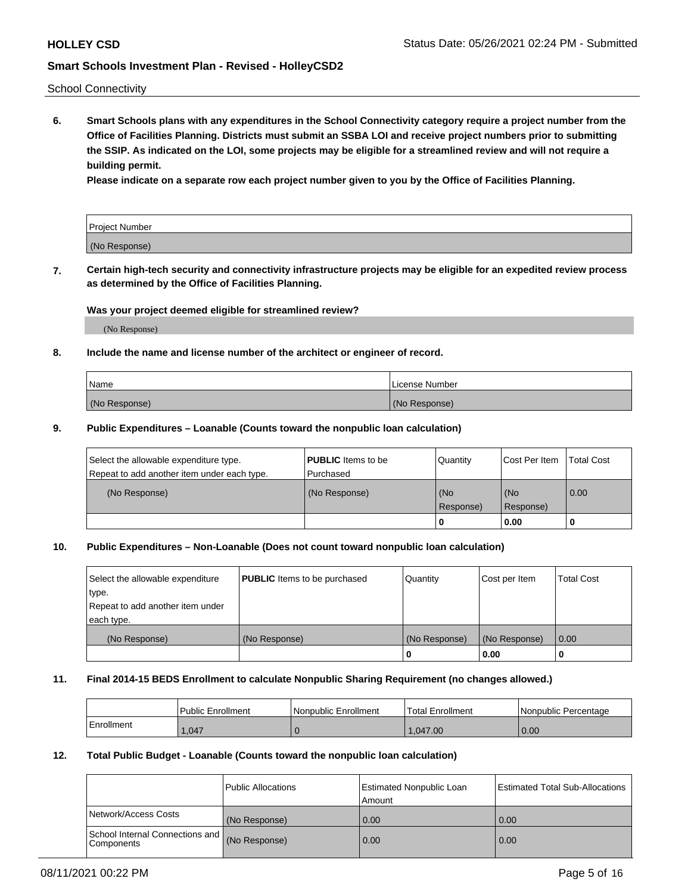School Connectivity

**6. Smart Schools plans with any expenditures in the School Connectivity category require a project number from the Office of Facilities Planning. Districts must submit an SSBA LOI and receive project numbers prior to submitting the SSIP. As indicated on the LOI, some projects may be eligible for a streamlined review and will not require a building permit.**

**Please indicate on a separate row each project number given to you by the Office of Facilities Planning.**

| Project Number |  |
|----------------|--|
| (No Response)  |  |

**7. Certain high-tech security and connectivity infrastructure projects may be eligible for an expedited review process as determined by the Office of Facilities Planning.**

## **Was your project deemed eligible for streamlined review?**

(No Response)

## **8. Include the name and license number of the architect or engineer of record.**

| Name          | License Number |
|---------------|----------------|
| (No Response) | (No Response)  |

### **9. Public Expenditures – Loanable (Counts toward the nonpublic loan calculation)**

| Select the allowable expenditure type.<br>Repeat to add another item under each type. | <b>PUBLIC</b> Items to be<br>l Purchased | Quantity         | l Cost Per Item  | <b>Total Cost</b> |
|---------------------------------------------------------------------------------------|------------------------------------------|------------------|------------------|-------------------|
| (No Response)                                                                         | (No Response)                            | (No<br>Response) | (No<br>Response) | 0.00              |
|                                                                                       |                                          | 0                | 0.00             |                   |

# **10. Public Expenditures – Non-Loanable (Does not count toward nonpublic loan calculation)**

| Select the allowable expenditure<br>type.      | <b>PUBLIC</b> Items to be purchased | Quantity      | Cost per Item | <b>Total Cost</b> |
|------------------------------------------------|-------------------------------------|---------------|---------------|-------------------|
| Repeat to add another item under<br>each type. |                                     |               |               |                   |
| (No Response)                                  | (No Response)                       | (No Response) | (No Response) | 0.00              |
|                                                |                                     |               | 0.00          |                   |

### **11. Final 2014-15 BEDS Enrollment to calculate Nonpublic Sharing Requirement (no changes allowed.)**

|            | Public Enrollment | Nonpublic Enrollment | 'Total Enrollment | l Nonpublic Percentage |
|------------|-------------------|----------------------|-------------------|------------------------|
| Enrollment | .047              |                      | 047.00            | 0.00                   |

### **12. Total Public Budget - Loanable (Counts toward the nonpublic loan calculation)**

|                                                      | Public Allocations | <b>Estimated Nonpublic Loan</b><br>Amount | Estimated Total Sub-Allocations |
|------------------------------------------------------|--------------------|-------------------------------------------|---------------------------------|
| Network/Access Costs                                 | (No Response)      | 0.00                                      | 0.00                            |
| School Internal Connections and<br><b>Components</b> | (No Response)      | 0.00                                      | 0.00                            |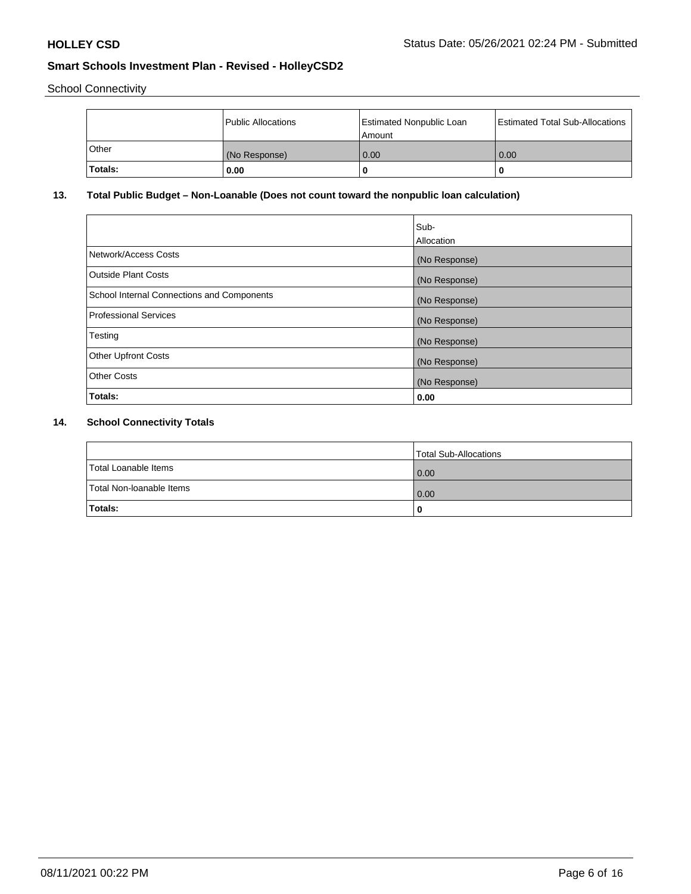School Connectivity

|         | Public Allocations | <b>Estimated Nonpublic Loan</b><br>Amount | <b>Estimated Total Sub-Allocations</b> |
|---------|--------------------|-------------------------------------------|----------------------------------------|
| l Other | (No Response)      | 0.00                                      | 0.00                                   |
| Totals: | 0.00               | 0                                         |                                        |

# **13. Total Public Budget – Non-Loanable (Does not count toward the nonpublic loan calculation)**

|                                                   | Sub-<br>Allocation |
|---------------------------------------------------|--------------------|
| Network/Access Costs                              | (No Response)      |
| Outside Plant Costs                               | (No Response)      |
| <b>School Internal Connections and Components</b> | (No Response)      |
| <b>Professional Services</b>                      | (No Response)      |
| Testing                                           | (No Response)      |
| <b>Other Upfront Costs</b>                        | (No Response)      |
| <b>Other Costs</b>                                | (No Response)      |
| Totals:                                           | 0.00               |

# **14. School Connectivity Totals**

|                          | Total Sub-Allocations |
|--------------------------|-----------------------|
| Total Loanable Items     | 0.00                  |
| Total Non-Ioanable Items | 0.00                  |
| Totals:                  | 0                     |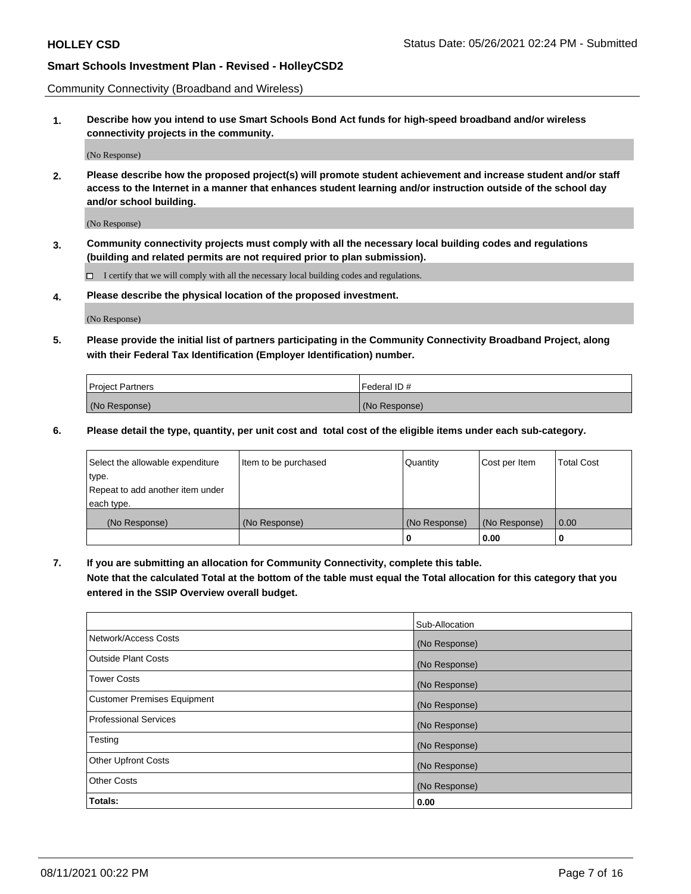Community Connectivity (Broadband and Wireless)

**1. Describe how you intend to use Smart Schools Bond Act funds for high-speed broadband and/or wireless connectivity projects in the community.**

(No Response)

**2. Please describe how the proposed project(s) will promote student achievement and increase student and/or staff access to the Internet in a manner that enhances student learning and/or instruction outside of the school day and/or school building.**

(No Response)

**3. Community connectivity projects must comply with all the necessary local building codes and regulations (building and related permits are not required prior to plan submission).**

 $\Box$  I certify that we will comply with all the necessary local building codes and regulations.

**4. Please describe the physical location of the proposed investment.**

(No Response)

**5. Please provide the initial list of partners participating in the Community Connectivity Broadband Project, along with their Federal Tax Identification (Employer Identification) number.**

| <b>Project Partners</b> | Federal ID#   |
|-------------------------|---------------|
| (No Response)           | (No Response) |

**6. Please detail the type, quantity, per unit cost and total cost of the eligible items under each sub-category.**

| Select the allowable expenditure | Item to be purchased | Quantity      | Cost per Item | <b>Total Cost</b> |
|----------------------------------|----------------------|---------------|---------------|-------------------|
| type.                            |                      |               |               |                   |
| Repeat to add another item under |                      |               |               |                   |
| each type.                       |                      |               |               |                   |
| (No Response)                    | (No Response)        | (No Response) | (No Response) | 0.00              |
|                                  |                      | o             | 0.00          |                   |

**7. If you are submitting an allocation for Community Connectivity, complete this table.**

**Note that the calculated Total at the bottom of the table must equal the Total allocation for this category that you entered in the SSIP Overview overall budget.**

|                                    | Sub-Allocation |
|------------------------------------|----------------|
| Network/Access Costs               | (No Response)  |
| Outside Plant Costs                | (No Response)  |
| <b>Tower Costs</b>                 | (No Response)  |
| <b>Customer Premises Equipment</b> | (No Response)  |
| <b>Professional Services</b>       | (No Response)  |
| Testing                            | (No Response)  |
| <b>Other Upfront Costs</b>         | (No Response)  |
| <b>Other Costs</b>                 | (No Response)  |
| Totals:                            | 0.00           |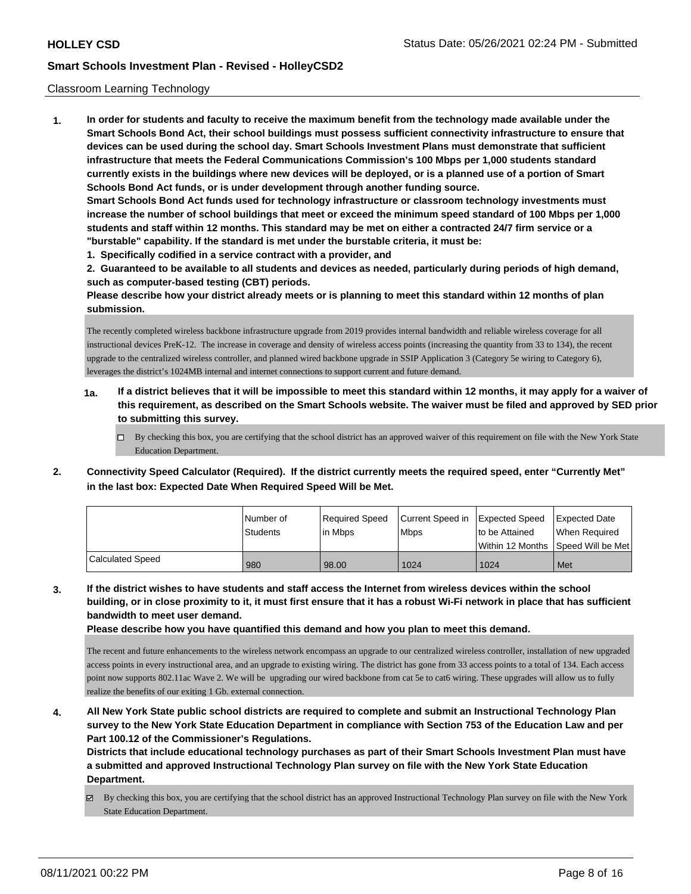### Classroom Learning Technology

**1. In order for students and faculty to receive the maximum benefit from the technology made available under the Smart Schools Bond Act, their school buildings must possess sufficient connectivity infrastructure to ensure that devices can be used during the school day. Smart Schools Investment Plans must demonstrate that sufficient infrastructure that meets the Federal Communications Commission's 100 Mbps per 1,000 students standard currently exists in the buildings where new devices will be deployed, or is a planned use of a portion of Smart Schools Bond Act funds, or is under development through another funding source. Smart Schools Bond Act funds used for technology infrastructure or classroom technology investments must increase the number of school buildings that meet or exceed the minimum speed standard of 100 Mbps per 1,000 students and staff within 12 months. This standard may be met on either a contracted 24/7 firm service or a "burstable" capability. If the standard is met under the burstable criteria, it must be:**

**1. Specifically codified in a service contract with a provider, and**

**2. Guaranteed to be available to all students and devices as needed, particularly during periods of high demand, such as computer-based testing (CBT) periods.**

**Please describe how your district already meets or is planning to meet this standard within 12 months of plan submission.**

The recently completed wireless backbone infrastructure upgrade from 2019 provides internal bandwidth and reliable wireless coverage for all instructional devices PreK-12. The increase in coverage and density of wireless access points (increasing the quantity from 33 to 134), the recent upgrade to the centralized wireless controller, and planned wired backbone upgrade in SSIP Application 3 (Category 5e wiring to Category 6), leverages the district's 1024MB internal and internet connections to support current and future demand.

- **1a. If a district believes that it will be impossible to meet this standard within 12 months, it may apply for a waiver of this requirement, as described on the Smart Schools website. The waiver must be filed and approved by SED prior to submitting this survey.**
	- By checking this box, you are certifying that the school district has an approved waiver of this requirement on file with the New York State Education Department.
- **2. Connectivity Speed Calculator (Required). If the district currently meets the required speed, enter "Currently Met" in the last box: Expected Date When Required Speed Will be Met.**

|                  | l Number of<br><b>Students</b> | Required Speed<br>lin Mbps | Current Speed in Expected Speed<br><b>Mbps</b> | to be Attained                     | <b>Expected Date</b><br>When Required |
|------------------|--------------------------------|----------------------------|------------------------------------------------|------------------------------------|---------------------------------------|
|                  |                                |                            |                                                | Within 12 Months SDeed Will be Met |                                       |
| Calculated Speed | 980                            | 98.00                      | 1024                                           | 1024                               | Met                                   |

**3. If the district wishes to have students and staff access the Internet from wireless devices within the school building, or in close proximity to it, it must first ensure that it has a robust Wi-Fi network in place that has sufficient bandwidth to meet user demand.**

**Please describe how you have quantified this demand and how you plan to meet this demand.**

The recent and future enhancements to the wireless network encompass an upgrade to our centralized wireless controller, installation of new upgraded access points in every instructional area, and an upgrade to existing wiring. The district has gone from 33 access points to a total of 134. Each access point now supports 802.11ac Wave 2. We will be upgrading our wired backbone from cat 5e to cat6 wiring. These upgrades will allow us to fully realize the benefits of our exiting 1 Gb. external connection.

**4. All New York State public school districts are required to complete and submit an Instructional Technology Plan survey to the New York State Education Department in compliance with Section 753 of the Education Law and per Part 100.12 of the Commissioner's Regulations.**

**Districts that include educational technology purchases as part of their Smart Schools Investment Plan must have a submitted and approved Instructional Technology Plan survey on file with the New York State Education Department.**

By checking this box, you are certifying that the school district has an approved Instructional Technology Plan survey on file with the New York State Education Department.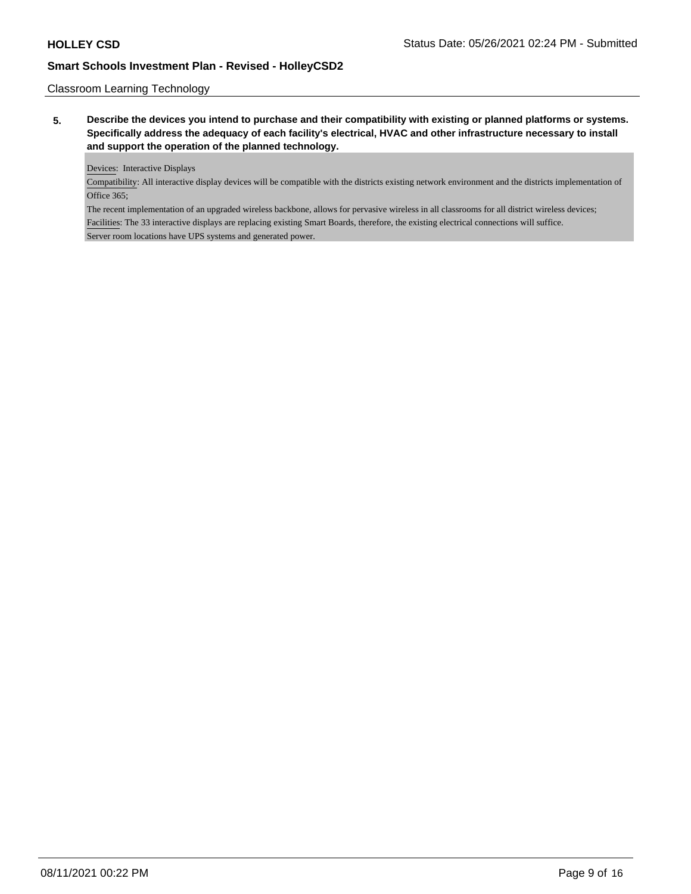# Classroom Learning Technology

**5. Describe the devices you intend to purchase and their compatibility with existing or planned platforms or systems. Specifically address the adequacy of each facility's electrical, HVAC and other infrastructure necessary to install and support the operation of the planned technology.**

Devices: Interactive Displays

Compatibility: All interactive display devices will be compatible with the districts existing network environment and the districts implementation of Office 365;

The recent implementation of an upgraded wireless backbone, allows for pervasive wireless in all classrooms for all district wireless devices; Facilities: The 33 interactive displays are replacing existing Smart Boards, therefore, the existing electrical connections will suffice. Server room locations have UPS systems and generated power.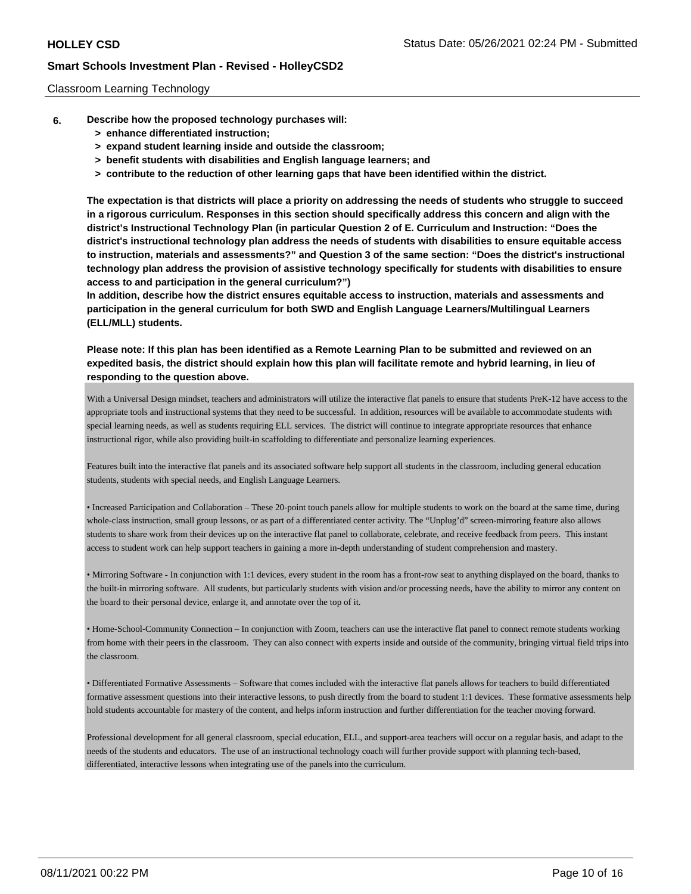### Classroom Learning Technology

- **6. Describe how the proposed technology purchases will:**
	- **> enhance differentiated instruction;**
	- **> expand student learning inside and outside the classroom;**
	- **> benefit students with disabilities and English language learners; and**
	- **> contribute to the reduction of other learning gaps that have been identified within the district.**

**The expectation is that districts will place a priority on addressing the needs of students who struggle to succeed in a rigorous curriculum. Responses in this section should specifically address this concern and align with the district's Instructional Technology Plan (in particular Question 2 of E. Curriculum and Instruction: "Does the district's instructional technology plan address the needs of students with disabilities to ensure equitable access to instruction, materials and assessments?" and Question 3 of the same section: "Does the district's instructional technology plan address the provision of assistive technology specifically for students with disabilities to ensure access to and participation in the general curriculum?")**

**In addition, describe how the district ensures equitable access to instruction, materials and assessments and participation in the general curriculum for both SWD and English Language Learners/Multilingual Learners (ELL/MLL) students.**

**Please note: If this plan has been identified as a Remote Learning Plan to be submitted and reviewed on an expedited basis, the district should explain how this plan will facilitate remote and hybrid learning, in lieu of responding to the question above.**

With a Universal Design mindset, teachers and administrators will utilize the interactive flat panels to ensure that students PreK-12 have access to the appropriate tools and instructional systems that they need to be successful. In addition, resources will be available to accommodate students with special learning needs, as well as students requiring ELL services. The district will continue to integrate appropriate resources that enhance instructional rigor, while also providing built-in scaffolding to differentiate and personalize learning experiences.

Features built into the interactive flat panels and its associated software help support all students in the classroom, including general education students, students with special needs, and English Language Learners.

• Increased Participation and Collaboration – These 20-point touch panels allow for multiple students to work on the board at the same time, during whole-class instruction, small group lessons, or as part of a differentiated center activity. The "Unplug'd" screen-mirroring feature also allows students to share work from their devices up on the interactive flat panel to collaborate, celebrate, and receive feedback from peers. This instant access to student work can help support teachers in gaining a more in-depth understanding of student comprehension and mastery.

• Mirroring Software - In conjunction with 1:1 devices, every student in the room has a front-row seat to anything displayed on the board, thanks to the built-in mirroring software. All students, but particularly students with vision and/or processing needs, have the ability to mirror any content on the board to their personal device, enlarge it, and annotate over the top of it.

• Home-School-Community Connection – In conjunction with Zoom, teachers can use the interactive flat panel to connect remote students working from home with their peers in the classroom. They can also connect with experts inside and outside of the community, bringing virtual field trips into the classroom.

• Differentiated Formative Assessments – Software that comes included with the interactive flat panels allows for teachers to build differentiated formative assessment questions into their interactive lessons, to push directly from the board to student 1:1 devices. These formative assessments help hold students accountable for mastery of the content, and helps inform instruction and further differentiation for the teacher moving forward.

Professional development for all general classroom, special education, ELL, and support-area teachers will occur on a regular basis, and adapt to the needs of the students and educators. The use of an instructional technology coach will further provide support with planning tech-based, differentiated, interactive lessons when integrating use of the panels into the curriculum.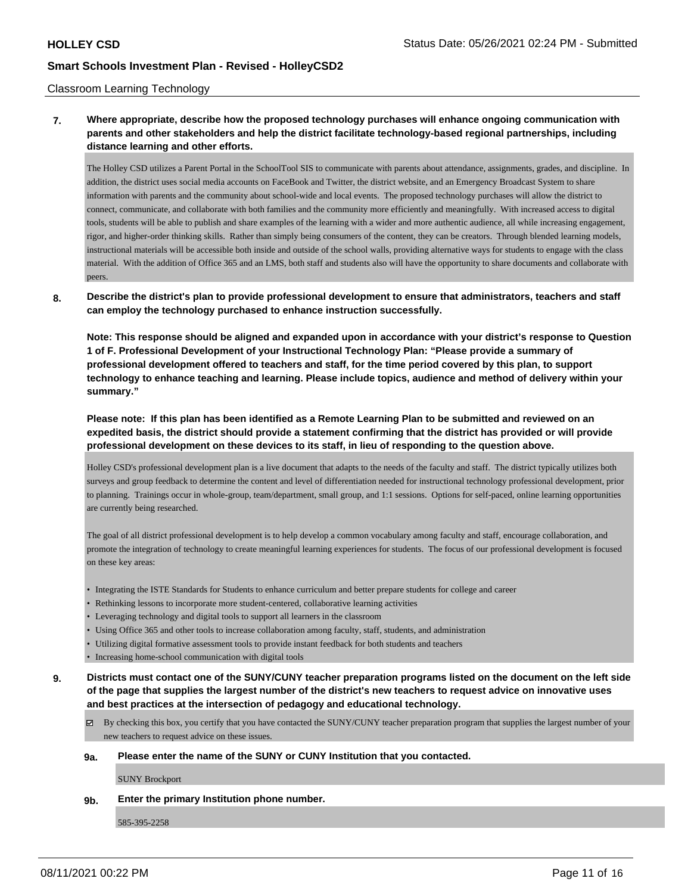### Classroom Learning Technology

# **7. Where appropriate, describe how the proposed technology purchases will enhance ongoing communication with parents and other stakeholders and help the district facilitate technology-based regional partnerships, including distance learning and other efforts.**

The Holley CSD utilizes a Parent Portal in the SchoolTool SIS to communicate with parents about attendance, assignments, grades, and discipline. In addition, the district uses social media accounts on FaceBook and Twitter, the district website, and an Emergency Broadcast System to share information with parents and the community about school-wide and local events. The proposed technology purchases will allow the district to connect, communicate, and collaborate with both families and the community more efficiently and meaningfully. With increased access to digital tools, students will be able to publish and share examples of the learning with a wider and more authentic audience, all while increasing engagement, rigor, and higher-order thinking skills. Rather than simply being consumers of the content, they can be creators. Through blended learning models, instructional materials will be accessible both inside and outside of the school walls, providing alternative ways for students to engage with the class material. With the addition of Office 365 and an LMS, both staff and students also will have the opportunity to share documents and collaborate with peers.

### **8. Describe the district's plan to provide professional development to ensure that administrators, teachers and staff can employ the technology purchased to enhance instruction successfully.**

**Note: This response should be aligned and expanded upon in accordance with your district's response to Question 1 of F. Professional Development of your Instructional Technology Plan: "Please provide a summary of professional development offered to teachers and staff, for the time period covered by this plan, to support technology to enhance teaching and learning. Please include topics, audience and method of delivery within your summary."**

# **Please note: If this plan has been identified as a Remote Learning Plan to be submitted and reviewed on an expedited basis, the district should provide a statement confirming that the district has provided or will provide professional development on these devices to its staff, in lieu of responding to the question above.**

Holley CSD's professional development plan is a live document that adapts to the needs of the faculty and staff. The district typically utilizes both surveys and group feedback to determine the content and level of differentiation needed for instructional technology professional development, prior to planning. Trainings occur in whole-group, team/department, small group, and 1:1 sessions. Options for self-paced, online learning opportunities are currently being researched.

The goal of all district professional development is to help develop a common vocabulary among faculty and staff, encourage collaboration, and promote the integration of technology to create meaningful learning experiences for students. The focus of our professional development is focused on these key areas:

- Integrating the ISTE Standards for Students to enhance curriculum and better prepare students for college and career
- Rethinking lessons to incorporate more student-centered, collaborative learning activities
- Leveraging technology and digital tools to support all learners in the classroom
- Using Office 365 and other tools to increase collaboration among faculty, staff, students, and administration
- Utilizing digital formative assessment tools to provide instant feedback for both students and teachers
- Increasing home-school communication with digital tools
- **9. Districts must contact one of the SUNY/CUNY teacher preparation programs listed on the document on the left side of the page that supplies the largest number of the district's new teachers to request advice on innovative uses and best practices at the intersection of pedagogy and educational technology.**
	- $\boxtimes$  By checking this box, you certify that you have contacted the SUNY/CUNY teacher preparation program that supplies the largest number of your new teachers to request advice on these issues.

#### **9a. Please enter the name of the SUNY or CUNY Institution that you contacted.**

SUNY Brockport

### **9b. Enter the primary Institution phone number.**

585-395-2258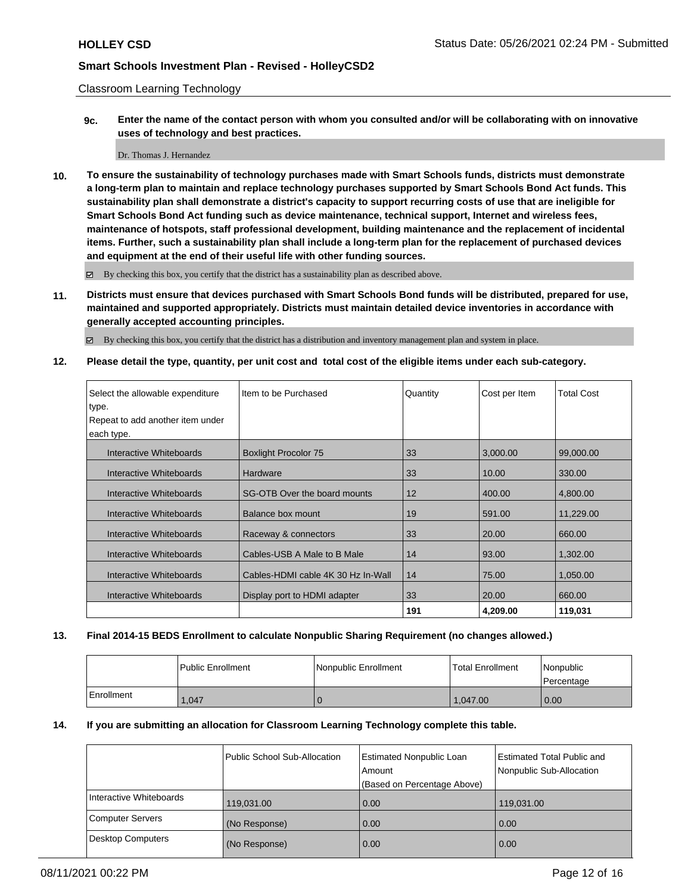Classroom Learning Technology

**9c. Enter the name of the contact person with whom you consulted and/or will be collaborating with on innovative uses of technology and best practices.**

#### Dr. Thomas J. Hernandez

**10. To ensure the sustainability of technology purchases made with Smart Schools funds, districts must demonstrate a long-term plan to maintain and replace technology purchases supported by Smart Schools Bond Act funds. This sustainability plan shall demonstrate a district's capacity to support recurring costs of use that are ineligible for Smart Schools Bond Act funding such as device maintenance, technical support, Internet and wireless fees, maintenance of hotspots, staff professional development, building maintenance and the replacement of incidental items. Further, such a sustainability plan shall include a long-term plan for the replacement of purchased devices and equipment at the end of their useful life with other funding sources.**

By checking this box, you certify that the district has a sustainability plan as described above.

**11. Districts must ensure that devices purchased with Smart Schools Bond funds will be distributed, prepared for use, maintained and supported appropriately. Districts must maintain detailed device inventories in accordance with generally accepted accounting principles.**

By checking this box, you certify that the district has a distribution and inventory management plan and system in place.

**12. Please detail the type, quantity, per unit cost and total cost of the eligible items under each sub-category.**

| Select the allowable expenditure<br>type.<br>Repeat to add another item under<br>each type. | I Item to be Purchased             | Quantity | Cost per Item | <b>Total Cost</b> |
|---------------------------------------------------------------------------------------------|------------------------------------|----------|---------------|-------------------|
| Interactive Whiteboards                                                                     | <b>Boxlight Procolor 75</b>        | 33       | 3,000.00      | 99,000.00         |
| Interactive Whiteboards                                                                     | Hardware                           | 33       | 10.00         | 330.00            |
| Interactive Whiteboards                                                                     | SG-OTB Over the board mounts       | 12       | 400.00        | 4,800.00          |
| Interactive Whiteboards                                                                     | Balance box mount                  | 19       | 591.00        | 11,229.00         |
| Interactive Whiteboards                                                                     | Raceway & connectors               | 33       | 20.00         | 660.00            |
| Interactive Whiteboards                                                                     | Cables-USB A Male to B Male        | 14       | 93.00         | 1.302.00          |
| Interactive Whiteboards                                                                     | Cables-HDMI cable 4K 30 Hz In-Wall | 14       | 75.00         | 1,050.00          |
| Interactive Whiteboards                                                                     | Display port to HDMI adapter       | 33       | 20.00         | 660.00            |
|                                                                                             |                                    | 191      | 4,209.00      | 119,031           |

### **13. Final 2014-15 BEDS Enrollment to calculate Nonpublic Sharing Requirement (no changes allowed.)**

|            | l Public Enrollment | Nonpublic Enrollment | <b>Total Enrollment</b> | Nonpublic<br>l Percentage |
|------------|---------------------|----------------------|-------------------------|---------------------------|
| Enrollment | .047                |                      | 1.047.00                | $\overline{0.00}$         |

### **14. If you are submitting an allocation for Classroom Learning Technology complete this table.**

|                          | Public School Sub-Allocation | Estimated Nonpublic Loan    | Estimated Total Public and |
|--------------------------|------------------------------|-----------------------------|----------------------------|
|                          |                              | Amount                      | Nonpublic Sub-Allocation   |
|                          |                              | (Based on Percentage Above) |                            |
| Interactive Whiteboards  | 119,031.00                   | 0.00                        | 119,031.00                 |
| <b>Computer Servers</b>  | (No Response)                | 0.00                        | 0.00                       |
| <b>Desktop Computers</b> | (No Response)                | 0.00                        | 0.00                       |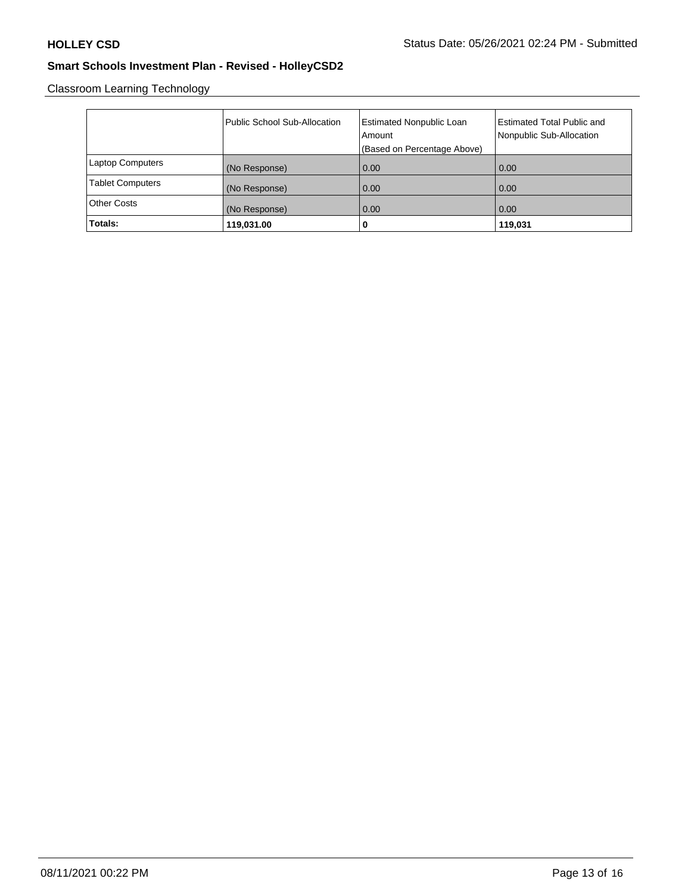Classroom Learning Technology

|                         | Public School Sub-Allocation | <b>Estimated Nonpublic Loan</b><br>Amount<br>(Based on Percentage Above) | <b>Estimated Total Public and</b><br>Nonpublic Sub-Allocation |
|-------------------------|------------------------------|--------------------------------------------------------------------------|---------------------------------------------------------------|
| <b>Laptop Computers</b> | (No Response)                | 0.00                                                                     | 0.00                                                          |
| <b>Tablet Computers</b> | (No Response)                | 0.00                                                                     | 0.00                                                          |
| <b>Other Costs</b>      | (No Response)                | 0.00                                                                     | 0.00                                                          |
| Totals:                 | 119,031.00                   | 0                                                                        | 119,031                                                       |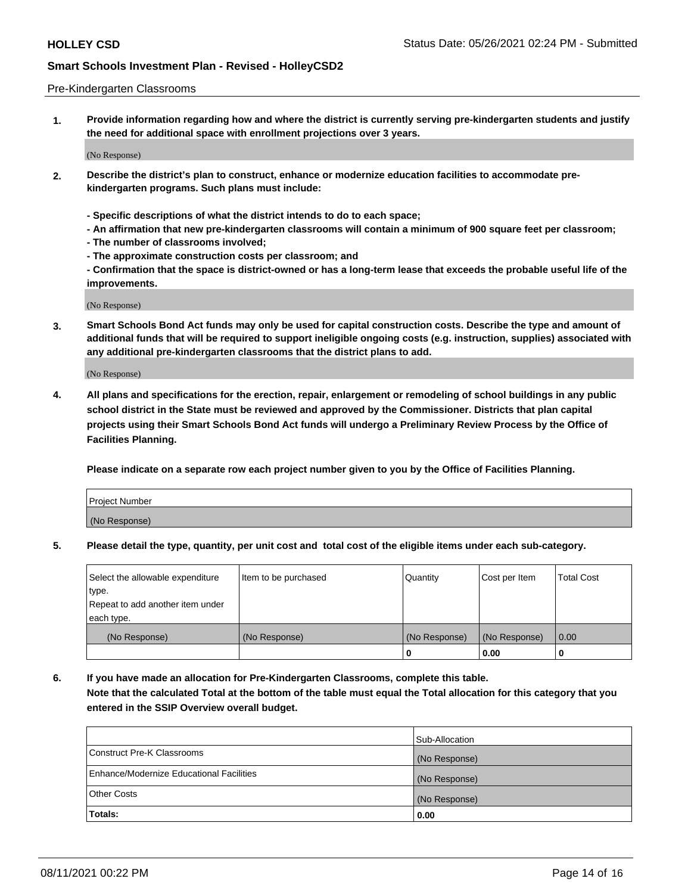### Pre-Kindergarten Classrooms

**1. Provide information regarding how and where the district is currently serving pre-kindergarten students and justify the need for additional space with enrollment projections over 3 years.**

(No Response)

- **2. Describe the district's plan to construct, enhance or modernize education facilities to accommodate prekindergarten programs. Such plans must include:**
	- **Specific descriptions of what the district intends to do to each space;**
	- **An affirmation that new pre-kindergarten classrooms will contain a minimum of 900 square feet per classroom;**
	- **The number of classrooms involved;**
	- **The approximate construction costs per classroom; and**
	- **Confirmation that the space is district-owned or has a long-term lease that exceeds the probable useful life of the improvements.**

(No Response)

**3. Smart Schools Bond Act funds may only be used for capital construction costs. Describe the type and amount of additional funds that will be required to support ineligible ongoing costs (e.g. instruction, supplies) associated with any additional pre-kindergarten classrooms that the district plans to add.**

(No Response)

**4. All plans and specifications for the erection, repair, enlargement or remodeling of school buildings in any public school district in the State must be reviewed and approved by the Commissioner. Districts that plan capital projects using their Smart Schools Bond Act funds will undergo a Preliminary Review Process by the Office of Facilities Planning.**

**Please indicate on a separate row each project number given to you by the Office of Facilities Planning.**

| Project Number |  |
|----------------|--|
| (No Response)  |  |
|                |  |

**5. Please detail the type, quantity, per unit cost and total cost of the eligible items under each sub-category.**

| Select the allowable expenditure | Item to be purchased | Quantity      | Cost per Item | <b>Total Cost</b> |
|----------------------------------|----------------------|---------------|---------------|-------------------|
| 'type.                           |                      |               |               |                   |
| Repeat to add another item under |                      |               |               |                   |
| each type.                       |                      |               |               |                   |
| (No Response)                    | (No Response)        | (No Response) | (No Response) | 0.00              |
|                                  |                      | U             | 0.00          |                   |

**6. If you have made an allocation for Pre-Kindergarten Classrooms, complete this table. Note that the calculated Total at the bottom of the table must equal the Total allocation for this category that you entered in the SSIP Overview overall budget.**

|                                          | Sub-Allocation |
|------------------------------------------|----------------|
| Construct Pre-K Classrooms               | (No Response)  |
| Enhance/Modernize Educational Facilities | (No Response)  |
| <b>Other Costs</b>                       | (No Response)  |
| Totals:                                  | 0.00           |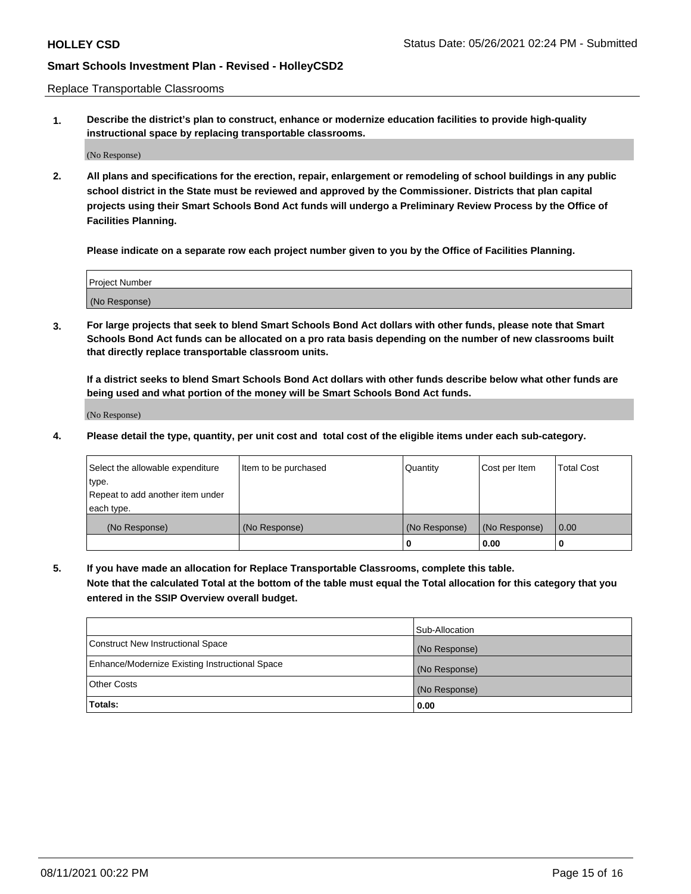Replace Transportable Classrooms

**1. Describe the district's plan to construct, enhance or modernize education facilities to provide high-quality instructional space by replacing transportable classrooms.**

(No Response)

**2. All plans and specifications for the erection, repair, enlargement or remodeling of school buildings in any public school district in the State must be reviewed and approved by the Commissioner. Districts that plan capital projects using their Smart Schools Bond Act funds will undergo a Preliminary Review Process by the Office of Facilities Planning.**

**Please indicate on a separate row each project number given to you by the Office of Facilities Planning.**

| Project Number |  |
|----------------|--|
|                |  |
|                |  |
|                |  |
| (No Response)  |  |
|                |  |
|                |  |

**3. For large projects that seek to blend Smart Schools Bond Act dollars with other funds, please note that Smart Schools Bond Act funds can be allocated on a pro rata basis depending on the number of new classrooms built that directly replace transportable classroom units.**

**If a district seeks to blend Smart Schools Bond Act dollars with other funds describe below what other funds are being used and what portion of the money will be Smart Schools Bond Act funds.**

(No Response)

**4. Please detail the type, quantity, per unit cost and total cost of the eligible items under each sub-category.**

| Select the allowable expenditure | Item to be purchased | Quantity      | Cost per Item | Total Cost |
|----------------------------------|----------------------|---------------|---------------|------------|
| ∣type.                           |                      |               |               |            |
| Repeat to add another item under |                      |               |               |            |
| each type.                       |                      |               |               |            |
| (No Response)                    | (No Response)        | (No Response) | (No Response) | 0.00       |
|                                  |                      | u             | 0.00          |            |

**5. If you have made an allocation for Replace Transportable Classrooms, complete this table. Note that the calculated Total at the bottom of the table must equal the Total allocation for this category that you entered in the SSIP Overview overall budget.**

|                                                | Sub-Allocation |
|------------------------------------------------|----------------|
| Construct New Instructional Space              | (No Response)  |
| Enhance/Modernize Existing Instructional Space | (No Response)  |
| Other Costs                                    | (No Response)  |
| Totals:                                        | 0.00           |